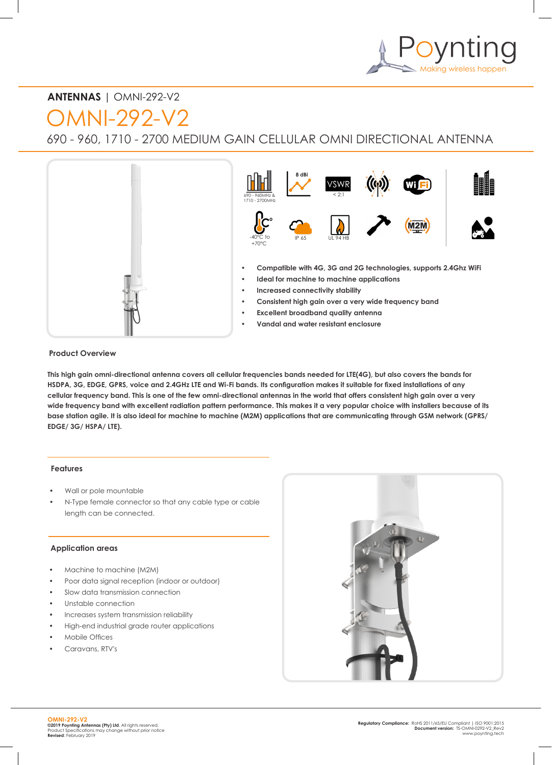

# **ANTENNAS** | OMNI-292-V2

OMNI-292-V2

690 - 960, 1710 - 2700 MEDIUM GAIN CELLULAR OMNI DIRECTIONAL ANTENNA



#### **Product Overview**

**This high gain omni-directional antenna covers all cellular frequencies bands needed for LTE(4G), but also covers the bands for HSDPA, 3G, EDGE, GPRS, voice and 2.4GHz LTE and Wi-Fi bands. Its configuration makes it suitable for fixed installations of any cellular frequency band. This is one of the few omni-directional antennas in the world that offers consistent high gain over a very wide frequency band with excellent radiation pattern performance. This makes it a very popular choice with installers because of its base station agile. It is also ideal for machine to machine (M2M) applications that are communicating through GSM network (GPRS/ EDGE/ 3G/ HSPA/ LTE).**

#### **Features**

- Wall or pole mountable
- N-Type female connector so that any cable type or cable length can be connected.

#### **Application areas**

- Machine to machine (M2M)
- Poor data signal reception (indoor or outdoor)
- Slow data transmission connection
- Unstable connection
- Increases system transmission reliability
- High-end industrial grade router applications
- Mobile Offices
- Caravans, RTV's

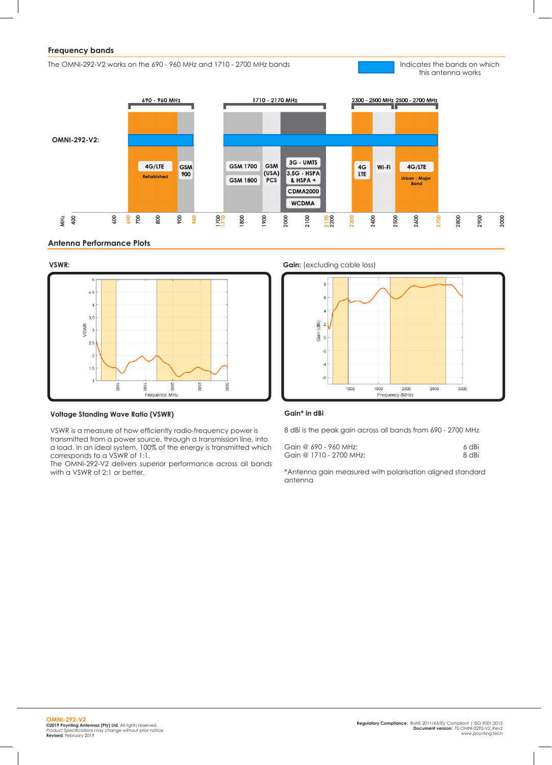## **Frequency bands**

The OMNI-292-V2 works on the 690 - 960 MHz and 1710 - 2700 MHz bands

Indicates the bands on which this antenna works







#### **Voltage Standing Wave Ratio (VSWR)**

VSWR is a measure of how efficiently radio-frequency power is transmitted from a power source, through a transmission line, into a load. In an ideal system, 100% of the energy is transmitted which corresponds to a VSWR of 1:1.

The OMNI-292-V2 delivers superior performance across all bands with a VSWR of 2:1 or better.





#### **Gain\* in dBi**

8 dBi is the peak gain across all bands from 690 - 2700 MHz

| Gain @ 690 - 960 MHz:   | 6 dBi |
|-------------------------|-------|
| Gain @ 1710 - 2700 MHz: | 8 dBi |

\*Antenna gain measured with polarisation aligned standard antenna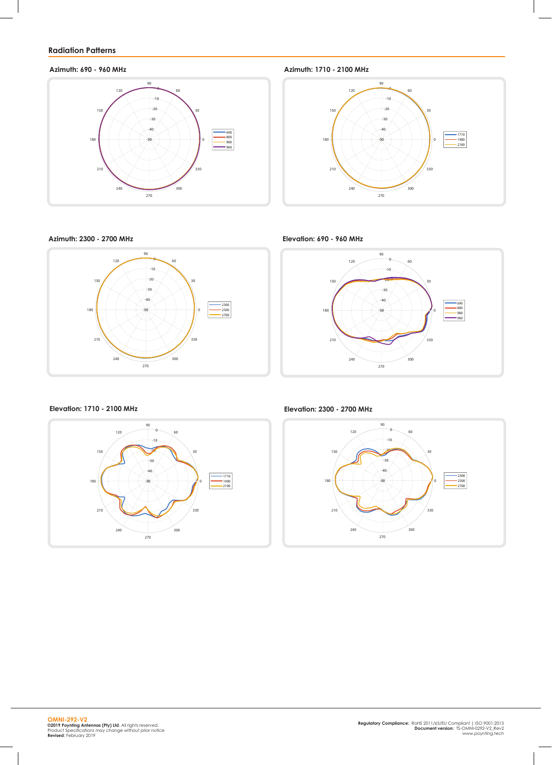# **Radiation Patterns**



**Azimuth: 690 - 960 MHz Azimuth: 1710 - 2100 MHz**



**Azimuth: 2300 - 2700 MHz**



**Elevation: 690 - 960 MHz**



**Elevation: 1710 - 2100 MHz Elevation: 2300 - 2700 MHz**